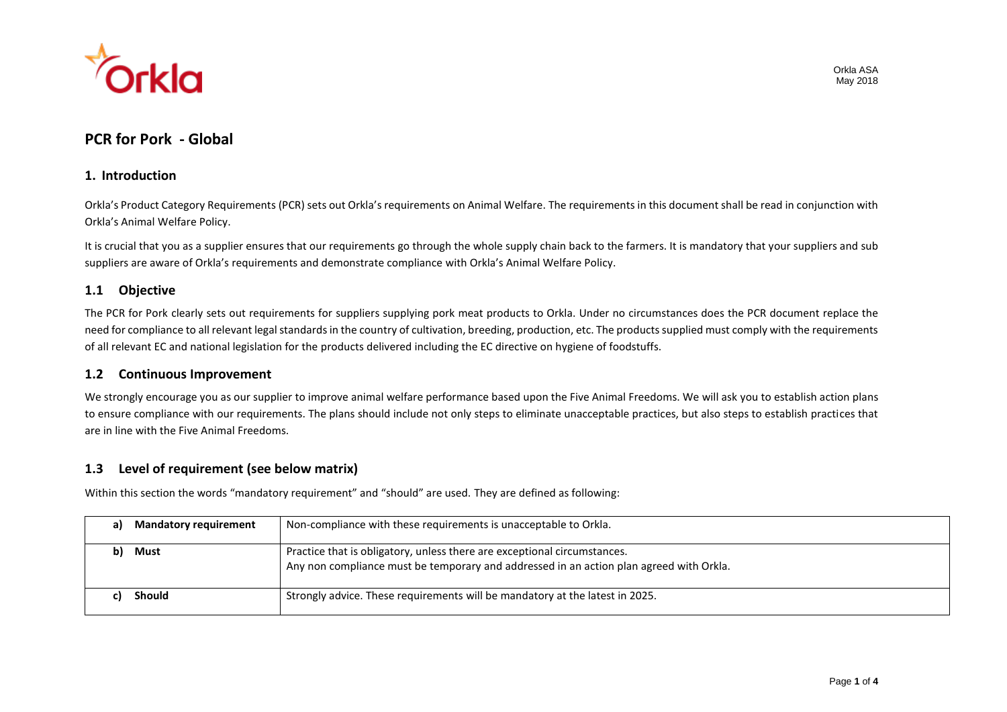

# **PCR for Pork - Global**

## **1. Introduction**

Orkla's Product Category Requirements (PCR) sets out Orkla's requirements on Animal Welfare. The requirements in this document shall be read in conjunction with Orkla's Animal Welfare Policy.

It is crucial that you as a supplier ensures that our requirements go through the whole supply chain back to the farmers. It is mandatory that your suppliers and sub suppliers are aware of Orkla's requirements and demonstrate compliance with Orkla's Animal Welfare Policy.

## **1.1 Objective**

The PCR for Pork clearly sets out requirements for suppliers supplying pork meat products to Orkla. Under no circumstances does the PCR document replace the need for compliance to all relevant legal standards in the country of cultivation, breeding, production, etc. The productssupplied must comply with the requirements of all relevant EC and national legislation for the products delivered including the EC directive on hygiene of foodstuffs.

### **1.2 Continuous Improvement**

We strongly encourage you as our supplier to improve animal welfare performance based upon the Five Animal Freedoms. We will ask you to establish action plans to ensure compliance with our requirements. The plans should include not only steps to eliminate unacceptable practices, but also steps to establish practices that are in line with the Five Animal Freedoms.

# **1.3 Level of requirement (see below matrix)**

Within this section the words "mandatory requirement" and "should" are used. They are defined as following:

| <b>Mandatory requirement</b> | Non-compliance with these requirements is unacceptable to Orkla.                                                                                                    |
|------------------------------|---------------------------------------------------------------------------------------------------------------------------------------------------------------------|
| Must                         | Practice that is obligatory, unless there are exceptional circumstances.<br>Any non compliance must be temporary and addressed in an action plan agreed with Orkla. |
| <b>Should</b>                | Strongly advice. These requirements will be mandatory at the latest in 2025.                                                                                        |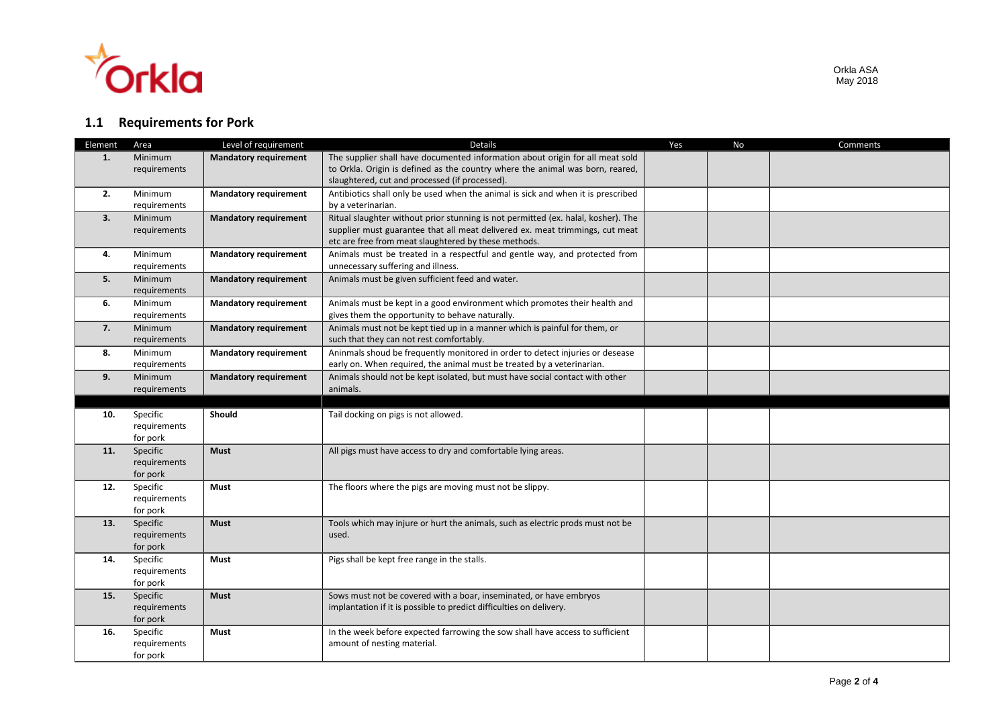

# **1.1 Requirements for Pork**

| Element | Area                 | Level of requirement         | <b>Details</b>                                                                    | Yes | No | Comments |
|---------|----------------------|------------------------------|-----------------------------------------------------------------------------------|-----|----|----------|
| 1.      | Minimum              | <b>Mandatory requirement</b> | The supplier shall have documented information about origin for all meat sold     |     |    |          |
|         | requirements         |                              | to Orkla. Origin is defined as the country where the animal was born, reared,     |     |    |          |
|         |                      |                              | slaughtered, cut and processed (if processed).                                    |     |    |          |
| 2.      | Minimum              | <b>Mandatory requirement</b> | Antibiotics shall only be used when the animal is sick and when it is prescribed  |     |    |          |
|         | requirements         |                              | by a veterinarian.                                                                |     |    |          |
| 3.      | Minimum              | <b>Mandatory requirement</b> | Ritual slaughter without prior stunning is not permitted (ex. halal, kosher). The |     |    |          |
|         | requirements         |                              | supplier must guarantee that all meat delivered ex. meat trimmings, cut meat      |     |    |          |
|         |                      |                              | etc are free from meat slaughtered by these methods.                              |     |    |          |
| 4.      | Minimum              | <b>Mandatory requirement</b> | Animals must be treated in a respectful and gentle way, and protected from        |     |    |          |
|         | requirements         |                              | unnecessary suffering and illness.                                                |     |    |          |
| 5.      | Minimum              | <b>Mandatory requirement</b> | Animals must be given sufficient feed and water.                                  |     |    |          |
|         | requirements         |                              |                                                                                   |     |    |          |
| 6.      | Minimum              | <b>Mandatory requirement</b> | Animals must be kept in a good environment which promotes their health and        |     |    |          |
|         | requirements         |                              | gives them the opportunity to behave naturally.                                   |     |    |          |
| 7.      | Minimum              | <b>Mandatory requirement</b> | Animals must not be kept tied up in a manner which is painful for them, or        |     |    |          |
|         | requirements         |                              | such that they can not rest comfortably.                                          |     |    |          |
| 8.      | Minimum              | <b>Mandatory requirement</b> | Aninmals shoud be frequently monitored in order to detect injuries or desease     |     |    |          |
|         | requirements         |                              | early on. When required, the animal must be treated by a veterinarian.            |     |    |          |
| 9.      | Minimum              | <b>Mandatory requirement</b> | Animals should not be kept isolated, but must have social contact with other      |     |    |          |
|         | requirements         |                              | animals.                                                                          |     |    |          |
|         |                      |                              |                                                                                   |     |    |          |
| 10.     | Specific             | Should                       | Tail docking on pigs is not allowed.                                              |     |    |          |
|         | requirements         |                              |                                                                                   |     |    |          |
| 11.     | for pork<br>Specific | <b>Must</b>                  | All pigs must have access to dry and comfortable lying areas.                     |     |    |          |
|         | requirements         |                              |                                                                                   |     |    |          |
|         | for pork             |                              |                                                                                   |     |    |          |
| 12.     | Specific             | Must                         | The floors where the pigs are moving must not be slippy.                          |     |    |          |
|         | requirements         |                              |                                                                                   |     |    |          |
|         | for pork             |                              |                                                                                   |     |    |          |
| 13.     | Specific             | <b>Must</b>                  | Tools which may injure or hurt the animals, such as electric prods must not be    |     |    |          |
|         | requirements         |                              | used.                                                                             |     |    |          |
|         | for pork             |                              |                                                                                   |     |    |          |
| 14.     | Specific             | <b>Must</b>                  | Pigs shall be kept free range in the stalls.                                      |     |    |          |
|         | requirements         |                              |                                                                                   |     |    |          |
|         | for pork             |                              |                                                                                   |     |    |          |
| 15.     | Specific             | <b>Must</b>                  | Sows must not be covered with a boar, inseminated, or have embryos                |     |    |          |
|         | requirements         |                              | implantation if it is possible to predict difficulties on delivery.               |     |    |          |
|         | for pork             |                              |                                                                                   |     |    |          |
| 16.     | Specific             | <b>Must</b>                  | In the week before expected farrowing the sow shall have access to sufficient     |     |    |          |
|         | requirements         |                              | amount of nesting material.                                                       |     |    |          |
|         | for pork             |                              |                                                                                   |     |    |          |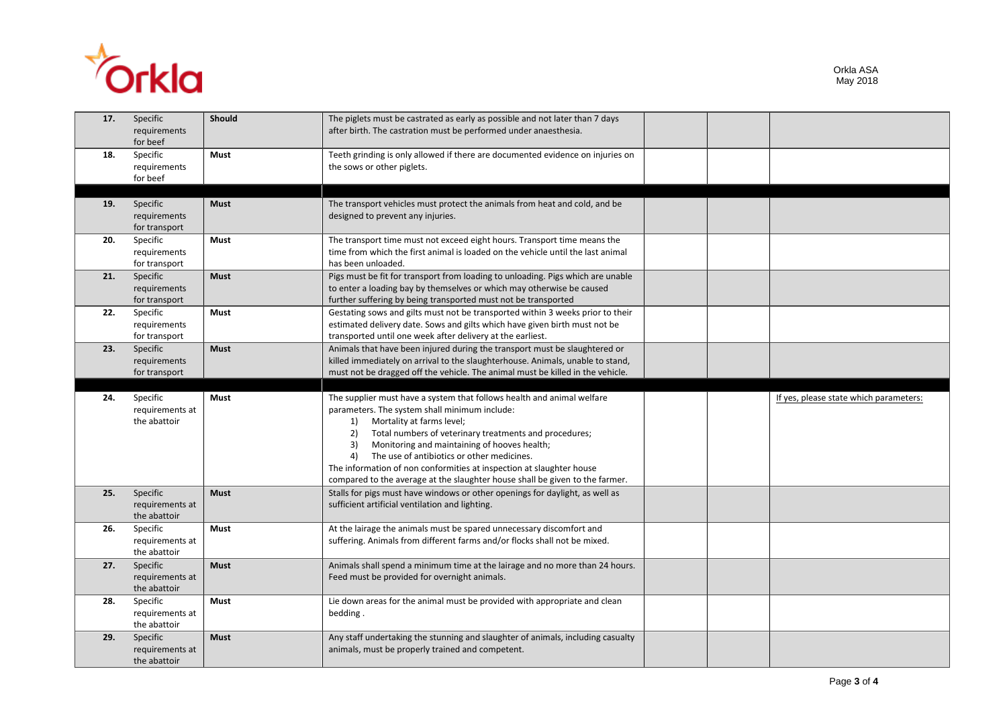

Orkla ASA May 2018

| 17. | Specific<br>requirements<br>for beef        | <b>Should</b> | The piglets must be castrated as early as possible and not later than 7 days<br>after birth. The castration must be performed under anaesthesia.                                                                                                                                                                                                                                                                                                                                             |  |                                        |
|-----|---------------------------------------------|---------------|----------------------------------------------------------------------------------------------------------------------------------------------------------------------------------------------------------------------------------------------------------------------------------------------------------------------------------------------------------------------------------------------------------------------------------------------------------------------------------------------|--|----------------------------------------|
| 18. | Specific<br>requirements<br>for beef        | Must          | Teeth grinding is only allowed if there are documented evidence on injuries on<br>the sows or other piglets.                                                                                                                                                                                                                                                                                                                                                                                 |  |                                        |
|     |                                             |               |                                                                                                                                                                                                                                                                                                                                                                                                                                                                                              |  |                                        |
| 19. | Specific<br>requirements<br>for transport   | <b>Must</b>   | The transport vehicles must protect the animals from heat and cold, and be<br>designed to prevent any injuries.                                                                                                                                                                                                                                                                                                                                                                              |  |                                        |
| 20. | Specific<br>requirements<br>for transport   | Must          | The transport time must not exceed eight hours. Transport time means the<br>time from which the first animal is loaded on the vehicle until the last animal<br>has been unloaded.                                                                                                                                                                                                                                                                                                            |  |                                        |
| 21. | Specific<br>requirements<br>for transport   | <b>Must</b>   | Pigs must be fit for transport from loading to unloading. Pigs which are unable<br>to enter a loading bay by themselves or which may otherwise be caused<br>further suffering by being transported must not be transported                                                                                                                                                                                                                                                                   |  |                                        |
| 22. | Specific<br>requirements<br>for transport   | <b>Must</b>   | Gestating sows and gilts must not be transported within 3 weeks prior to their<br>estimated delivery date. Sows and gilts which have given birth must not be<br>transported until one week after delivery at the earliest.                                                                                                                                                                                                                                                                   |  |                                        |
| 23. | Specific<br>requirements<br>for transport   | <b>Must</b>   | Animals that have been injured during the transport must be slaughtered or<br>killed immediately on arrival to the slaughterhouse. Animals, unable to stand,<br>must not be dragged off the vehicle. The animal must be killed in the vehicle.                                                                                                                                                                                                                                               |  |                                        |
|     |                                             |               |                                                                                                                                                                                                                                                                                                                                                                                                                                                                                              |  |                                        |
|     |                                             |               |                                                                                                                                                                                                                                                                                                                                                                                                                                                                                              |  |                                        |
| 24. | Specific<br>requirements at<br>the abattoir | <b>Must</b>   | The supplier must have a system that follows health and animal welfare<br>parameters. The system shall minimum include:<br>Mortality at farms level;<br>1)<br>Total numbers of veterinary treatments and procedures;<br>2)<br>Monitoring and maintaining of hooves health;<br>3)<br>The use of antibiotics or other medicines.<br>4)<br>The information of non conformities at inspection at slaughter house<br>compared to the average at the slaughter house shall be given to the farmer. |  | If yes, please state which parameters: |
| 25. | Specific<br>requirements at<br>the abattoir | <b>Must</b>   | Stalls for pigs must have windows or other openings for daylight, as well as<br>sufficient artificial ventilation and lighting.                                                                                                                                                                                                                                                                                                                                                              |  |                                        |
| 26. | Specific<br>requirements at<br>the abattoir | <b>Must</b>   | At the lairage the animals must be spared unnecessary discomfort and<br>suffering. Animals from different farms and/or flocks shall not be mixed.                                                                                                                                                                                                                                                                                                                                            |  |                                        |
| 27. | Specific<br>requirements at<br>the abattoir | <b>Must</b>   | Animals shall spend a minimum time at the lairage and no more than 24 hours.<br>Feed must be provided for overnight animals.                                                                                                                                                                                                                                                                                                                                                                 |  |                                        |
| 28. | Specific<br>requirements at<br>the abattoir | <b>Must</b>   | Lie down areas for the animal must be provided with appropriate and clean<br>bedding.                                                                                                                                                                                                                                                                                                                                                                                                        |  |                                        |